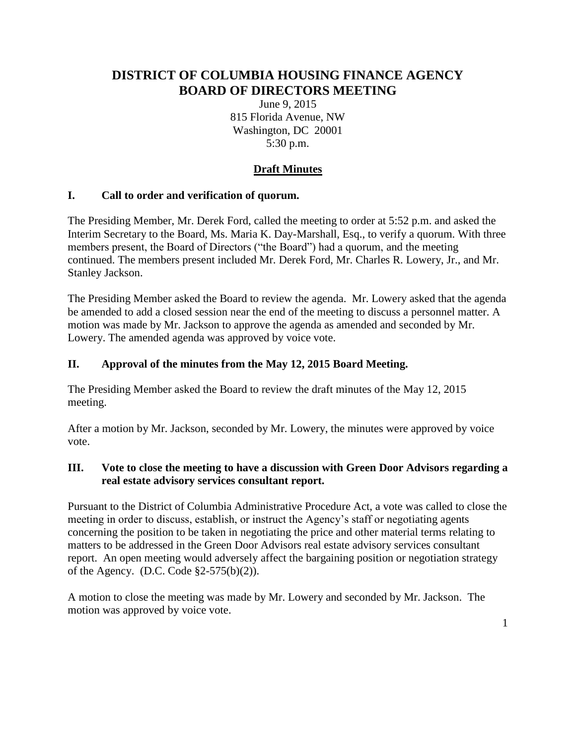# **DISTRICT OF COLUMBIA HOUSING FINANCE AGENCY BOARD OF DIRECTORS MEETING**

June 9, 2015 815 Florida Avenue, NW Washington, DC 20001 5:30 p.m.

## **Draft Minutes**

### **I. Call to order and verification of quorum.**

The Presiding Member, Mr. Derek Ford, called the meeting to order at 5:52 p.m. and asked the Interim Secretary to the Board, Ms. Maria K. Day-Marshall, Esq., to verify a quorum. With three members present, the Board of Directors ("the Board") had a quorum, and the meeting continued. The members present included Mr. Derek Ford, Mr. Charles R. Lowery, Jr., and Mr. Stanley Jackson.

The Presiding Member asked the Board to review the agenda. Mr. Lowery asked that the agenda be amended to add a closed session near the end of the meeting to discuss a personnel matter. A motion was made by Mr. Jackson to approve the agenda as amended and seconded by Mr. Lowery. The amended agenda was approved by voice vote.

### **II. Approval of the minutes from the May 12, 2015 Board Meeting.**

The Presiding Member asked the Board to review the draft minutes of the May 12, 2015 meeting.

After a motion by Mr. Jackson, seconded by Mr. Lowery, the minutes were approved by voice vote.

### **III. Vote to close the meeting to have a discussion with Green Door Advisors regarding a real estate advisory services consultant report.**

Pursuant to the District of Columbia Administrative Procedure Act, a vote was called to close the meeting in order to discuss, establish, or instruct the Agency's staff or negotiating agents concerning the position to be taken in negotiating the price and other material terms relating to matters to be addressed in the Green Door Advisors real estate advisory services consultant report. An open meeting would adversely affect the bargaining position or negotiation strategy of the Agency. (D.C. Code §2-575(b)(2)).

A motion to close the meeting was made by Mr. Lowery and seconded by Mr. Jackson. The motion was approved by voice vote.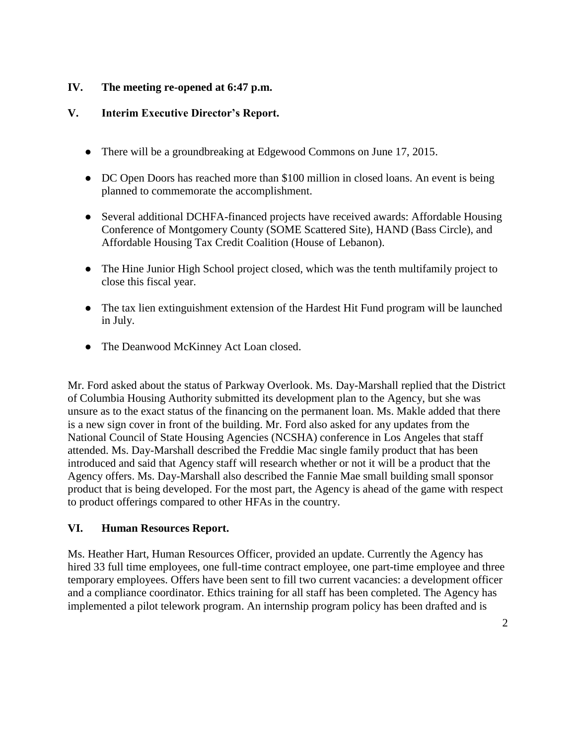#### **IV. The meeting re-opened at 6:47 p.m.**

#### **V. Interim Executive Director's Report.**

- There will be a groundbreaking at Edgewood Commons on June 17, 2015.
- DC Open Doors has reached more than \$100 million in closed loans. An event is being planned to commemorate the accomplishment.
- Several additional DCHFA-financed projects have received awards: Affordable Housing Conference of Montgomery County (SOME Scattered Site), HAND (Bass Circle), and Affordable Housing Tax Credit Coalition (House of Lebanon).
- The Hine Junior High School project closed, which was the tenth multifamily project to close this fiscal year.
- The tax lien extinguishment extension of the Hardest Hit Fund program will be launched in July.
- The Deanwood McKinney Act Loan closed.

Mr. Ford asked about the status of Parkway Overlook. Ms. Day-Marshall replied that the District of Columbia Housing Authority submitted its development plan to the Agency, but she was unsure as to the exact status of the financing on the permanent loan. Ms. Makle added that there is a new sign cover in front of the building. Mr. Ford also asked for any updates from the National Council of State Housing Agencies (NCSHA) conference in Los Angeles that staff attended. Ms. Day-Marshall described the Freddie Mac single family product that has been introduced and said that Agency staff will research whether or not it will be a product that the Agency offers. Ms. Day-Marshall also described the Fannie Mae small building small sponsor product that is being developed. For the most part, the Agency is ahead of the game with respect to product offerings compared to other HFAs in the country.

#### **VI. Human Resources Report.**

Ms. Heather Hart, Human Resources Officer, provided an update. Currently the Agency has hired 33 full time employees, one full-time contract employee, one part-time employee and three temporary employees. Offers have been sent to fill two current vacancies: a development officer and a compliance coordinator. Ethics training for all staff has been completed. The Agency has implemented a pilot telework program. An internship program policy has been drafted and is